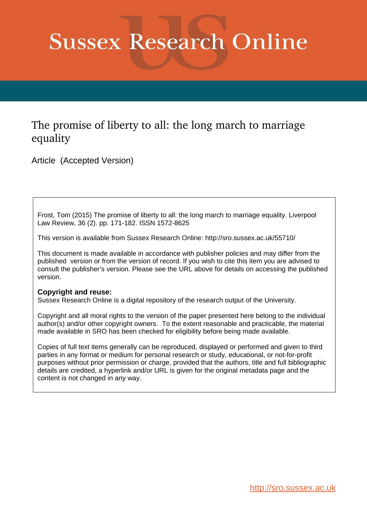# **Sussex Research Online**

# The promise of liberty to all: the long march to marriage equality

Article (Accepted Version)

Frost, Tom (2015) The promise of liberty to all: the long march to marriage equality. Liverpool Law Review, 36 (2). pp. 171-182. ISSN 1572-8625

This version is available from Sussex Research Online: http://sro.sussex.ac.uk/55710/

This document is made available in accordance with publisher policies and may differ from the published version or from the version of record. If you wish to cite this item you are advised to consult the publisher's version. Please see the URL above for details on accessing the published version.

## **Copyright and reuse:**

Sussex Research Online is a digital repository of the research output of the University.

Copyright and all moral rights to the version of the paper presented here belong to the individual author(s) and/or other copyright owners. To the extent reasonable and practicable, the material made available in SRO has been checked for eligibility before being made available.

Copies of full text items generally can be reproduced, displayed or performed and given to third parties in any format or medium for personal research or study, educational, or not-for-profit purposes without prior permission or charge, provided that the authors, title and full bibliographic details are credited, a hyperlink and/or URL is given for the original metadata page and the content is not changed in any way.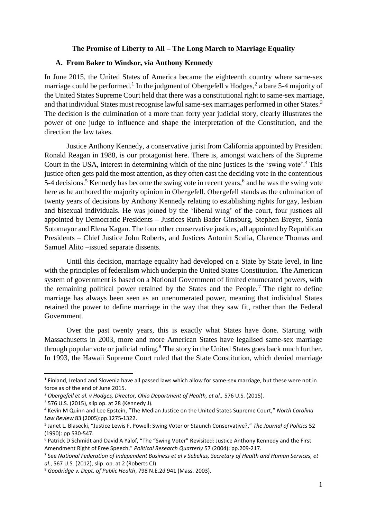#### **The Promise of Liberty to All – The Long March to Marriage Equality**

#### **A. From Baker to Windsor, via Anthony Kennedy**

In June 2015, the United States of America became the eighteenth country where same-sex marriage could be performed.<sup>1</sup> In the judgment of Obergefell v Hodges,<sup>2</sup> a bare 5-4 majority of the United States Supreme Court held that there was a constitutional right to same-sex marriage, and that individual States must recognise lawful same-sex marriages performed in other States.<sup>3</sup> The decision is the culmination of a more than forty year judicial story, clearly illustrates the power of one judge to influence and shape the interpretation of the Constitution, and the direction the law takes.

 Justice Anthony Kennedy, a conservative jurist from California appointed by President Ronald Reagan in 1988, is our protagonist here. There is, amongst watchers of the Supreme Court in the USA, interest in determining which of the nine justices is the 'swing vote'.<sup>4</sup> This justice often gets paid the most attention, as they often cast the deciding vote in the contentious 5-4 decisions.<sup>5</sup> Kennedy has become the swing vote in recent years,<sup>6</sup> and he was the swing vote here as he authored the majority opinion in Obergefell. Obergefell stands as the culmination of twenty years of decisions by Anthony Kennedy relating to establishing rights for gay, lesbian and bisexual individuals. He was joined by the 'liberal wing' of the court, four justices all appointed by Democratic Presidents – Justices Ruth Bader Ginsburg, Stephen Breyer, Sonia Sotomayor and Elena Kagan. The four other conservative justices, all appointed by Republican Presidents – Chief Justice John Roberts, and Justices Antonin Scalia, Clarence Thomas and Samuel Alito –issued separate dissents.

 Until this decision, marriage equality had developed on a State by State level, in line with the principles of federalism which underpin the United States Constitution. The American system of government is based on a National Government of limited enumerated powers, with the remaining political power retained by the States and the People.<sup>7</sup> The right to define marriage has always been seen as an unenumerated power, meaning that individual States retained the power to define marriage in the way that they saw fit, rather than the Federal Government.

 Over the past twenty years, this is exactly what States have done. Starting with Massachusetts in 2003, more and more American States have legalised same-sex marriage through popular vote or judicial ruling.<sup>8</sup> The story in the United States goes back much further. In 1993, the Hawaii Supreme Court ruled that the State Constitution, which denied marriage

<sup>&</sup>lt;sup>1</sup> Finland, Ireland and Slovenia have all passed laws which allow for same-sex marriage, but these were not in force as of the end of June 2015.

<sup>&</sup>lt;sup>2</sup> Obergefell et al. v Hodges, Director, Ohio Department of Health, et al., 576 U.S. (2015).

<sup>3</sup> 576 U.S. (2015), slip op. at 28 (Kennedy J).

<sup>&</sup>lt;sup>4</sup> Kevin M Quinn and Lee Epstein, "The Median Justice on the United States Supreme Court," North Carolina *Law Review* 83 (2005):pp.1275-1322.

<sup>&</sup>lt;sup>5</sup> Janet L. Blasecki, "Justice Lewis F. Powell: Swing Voter or Staunch Conservative?," The Journal of Politics 52 (1990): pp 530-547.

 $6$  Patrick D Schmidt and David A Yalof, "The "Swing Voter" Revisited: Justice Anthony Kennedy and the First Amendment Right of Free Speech," Political Research Quarterly 57 (2004): pp.209-217.

<sup>7</sup> See *National Federation of Independent Business et al v Sebelius, Secretary of Health and Human Services, et al*., 567 U.S. (2012), slip. op. at 2 (Roberts CJ).

<sup>8</sup> *Goodridge v. Dept. of Public Health*, 798 N.E.2d 941 (Mass. 2003).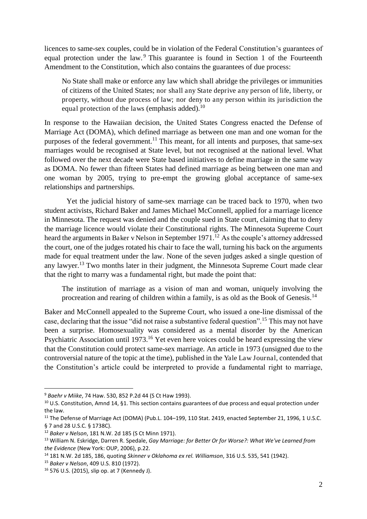licences to same-sex couples, could be in violation of the Federal Constitution's guarantees of equal protection under the law.<sup>9</sup> This guarantee is found in Section 1 of the Fourteenth Amendment to the Constitution, which also contains the guarantees of due process:

No State shall make or enforce any law which shall abridge the privileges or immunities of citizens of the United States; nor shall any State deprive any person of life, liberty, or property, without due process of law; nor deny to any person within its jurisdiction the equal protection of the laws (emphasis added).<sup>10</sup>

In response to the Hawaiian decision, the United States Congress enacted the Defense of Marriage Act (DOMA), which defined marriage as between one man and one woman for the purposes of the federal government.<sup>11</sup> This meant, for all intents and purposes, that same-sex marriages would be recognised at State level, but not recognised at the national level. What followed over the next decade were State based initiatives to define marriage in the same way as DOMA. No fewer than fifteen States had defined marriage as being between one man and one woman by 2005, trying to pre-empt the growing global acceptance of same-sex relationships and partnerships.

 Yet the judicial history of same-sex marriage can be traced back to 1970, when two student activists, Richard Baker and James Michael McConnell, applied for a marriage licence in Minnesota. The request was denied and the couple sued in State court, claiming that to deny the marriage licence would violate their Constitutional rights. The Minnesota Supreme Court heard the arguments in Baker v Nelson in September 1971.<sup>12</sup> As the couple's attorney addressed the court, one of the judges rotated his chair to face the wall, turning his back on the arguments made for equal treatment under the law. None of the seven judges asked a single question of any lawyer.<sup>13</sup> Two months later in their judgment, the Minnesota Supreme Court made clear that the right to marry was a fundamental right, but made the point that:

The institution of marriage as a vision of man and woman, uniquely involving the procreation and rearing of children within a family, is as old as the Book of Genesis.<sup>14</sup>

Baker and McConnell appealed to the Supreme Court, who issued a one-line dismissal of the case, declaring that the issue "did not raise a substantive federal question".<sup>15</sup> This may not have been a surprise. Homosexuality was considered as a mental disorder by the American Psychiatric Association until 1973.<sup>16</sup> Yet even here voices could be heard expressing the view that the Constitution could protect same-sex marriage. An article in 1973 (unsigned due to the controversial nature of the topic at the time), published in the Yale Law Journal, contended that the Constitution's article could be interpreted to provide a fundamental right to marriage,

<sup>9</sup> *Baehr v Miike*, 74 Haw. 530, 852 P.2d 44 (S Ct Haw 1993).

<sup>&</sup>lt;sup>10</sup> U.S. Constitution, Amnd 14, §1. This section contains guarantees of due process and equal protection under the law.

<sup>&</sup>lt;sup>11</sup> The Defense of Marriage Act (DOMA) (Pub.L. 104-199, 110 Stat. 2419, enacted September 21, 1996, 1 U.S.C. § 7 and 28 U.S.C. § 1738C).

<sup>12</sup> *Baker v Nelson*, 181 N.W. 2d 185 (S Ct Minn 1971).

<sup>13</sup> William N. Eskridge, Darren R. Spedale, *Gay Marriage: for Better Or for Worse?: What We've Learned from the Evidence* (New York: OUP, 2006), p.22.

<sup>14</sup> 181 N.W. 2d 185, 186, quoting *Skinner v Oklahoma ex rel. Williamson*, 316 U.S. 535, 541 (1942).

<sup>15</sup> *Baker v Nelson*, 409 U.S. 810 (1972).

<sup>16</sup> 576 U.S. (2015), slip op. at 7 (Kennedy J).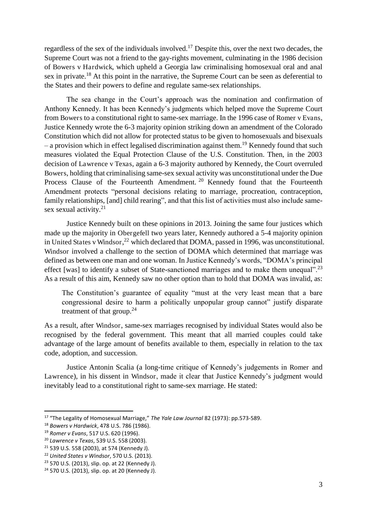regardless of the sex of the individuals involved.<sup>17</sup> Despite this, over the next two decades, the Supreme Court was not a friend to the gay-rights movement, culminating in the 1986 decision of Bowers v Hardwick, which upheld a Georgia law criminalising homosexual oral and anal sex in private.<sup>18</sup> At this point in the narrative, the Supreme Court can be seen as deferential to the States and their powers to define and regulate same-sex relationships.

 The sea change in the Court's approach was the nomination and confirmation of Anthony Kennedy. It has been Kennedy's judgments which helped move the Supreme Court from Bowers to a constitutional right to same-sex marriage. In the 1996 case of Romer v Evans, Justice Kennedy wrote the 6-3 majority opinion striking down an amendment of the Colorado Constitution which did not allow for protected status to be given to homosexuals and bisexuals  $-$  a provision which in effect legalised discrimination against them.<sup>19</sup> Kennedy found that such measures violated the Equal Protection Clause of the U.S. Constitution. Then, in the 2003 decision of Lawrence v Texas, again a 6-3 majority authored by Kennedy, the Court overruled Bowers, holding that criminalising same-sex sexual activity was unconstitutional under the Due Process Clause of the Fourteenth Amendment. <sup>20</sup> Kennedy found that the Fourteenth Amendment protects "personal decisions relating to marriage, procreation, contraception, family relationships, [and] child rearing", and that this list of activities must also include samesex sexual activity. $21$ 

 Justice Kennedy built on these opinions in 2013. Joining the same four justices which made up the majority in Obergefell two years later, Kennedy authored a 5-4 majority opinion in United States v Windsor,<sup>22</sup> which declared that DOMA, passed in 1996, was unconstitutional. Windsor involved a challenge to the section of DOMA which determined that marriage was defined as between one man and one woman. In Justice Kennedy's words, "DOMA's principal effect [was] to identify a subset of State-sanctioned marriages and to make them unequal".<sup>23</sup> As a result of this aim, Kennedy saw no other option than to hold that DOMA was invalid, as:

The Constitution's guarantee of equality "must at the very least mean that a bare congressional desire to harm a politically unpopular group cannot" justify disparate treatment of that group. $24$ 

As a result, after Windsor, same-sex marriages recognised by individual States would also be recognised by the federal government. This meant that all married couples could take advantage of the large amount of benefits available to them, especially in relation to the tax code, adoption, and succession.

 Justice Antonin Scalia (a long-time critique of Kennedy's judgements in Romer and Lawrence), in his dissent in Windsor, made it clear that Justice Kennedy's judgment would inevitably lead to a constitutional right to same-sex marriage. He stated:

-

<sup>&</sup>lt;sup>17</sup> "The Legality of Homosexual Marriage," The Yale Law Journal 82 (1973): pp.573-589.

<sup>18</sup> *Bowers v Hardwick*, 478 U.S. 786 (1986).

<sup>19</sup> *Romer v Evans*, 517 U.S. 620 (1996).

<sup>20</sup> *Lawrence v Texas*, 539 U.S. 558 (2003).

<sup>21</sup> 539 U.S. 558 (2003), at 574 (Kennedy J).

<sup>22</sup> *United States v Windsor*, 570 U.S. (2013).

<sup>23</sup> 570 U.S. (2013), slip. op. at 22 (Kennedy J).

<sup>24</sup> 570 U.S. (2013), slip. op. at 20 (Kennedy J).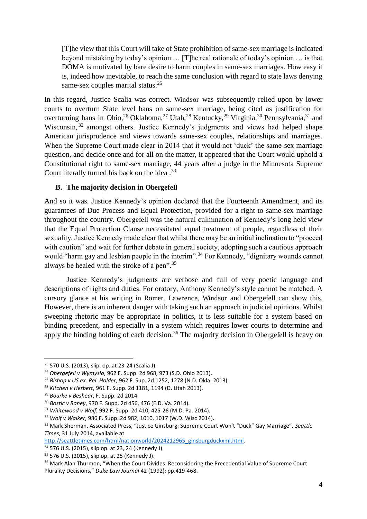[T]he view that this Court will take of State prohibition of same-sex marriage is indicated beyond mistaking by today's opinion … [T]he real rationale of today's opinion … is that DOMA is motivated by bare desire to harm couples in same-sex marriages. How easy it is, indeed how inevitable, to reach the same conclusion with regard to state laws denying same-sex couples marital status.<sup>25</sup>

In this regard, Justice Scalia was correct. Windsor was subsequently relied upon by lower courts to overturn State level bans on same-sex marriage, being cited as justification for overturning bans in Ohio,<sup>26</sup> Oklahoma,<sup>27</sup> Utah,<sup>28</sup> Kentucky,<sup>29</sup> Virginia,<sup>30</sup> Pennsylvania,<sup>31</sup> and Wisconsin, <sup>32</sup> amongst others. Justice Kennedy's judgments and views had helped shape American jurisprudence and views towards same-sex couples, relationships and marriages. When the Supreme Court made clear in 2014 that it would not 'duck' the same-sex marriage question, and decide once and for all on the matter, it appeared that the Court would uphold a Constitutional right to same-sex marriage, 44 years after a judge in the Minnesota Supreme Court literally turned his back on the idea  $^{33}$ 

## **B. The majority decision in Obergefell**

And so it was. Justice Kennedy's opinion declared that the Fourteenth Amendment, and its guarantees of Due Process and Equal Protection, provided for a right to same-sex marriage throughout the country. Obergefell was the natural culmination of Kennedy's long held view that the Equal Protection Clause necessitated equal treatment of people, regardless of their sexuality. Justice Kennedy made clear that whilst there may be an initial inclination to "proceed with caution" and wait for further debate in general society, adopting such a cautious approach would "harm gay and lesbian people in the interim".<sup>34</sup> For Kennedy, "dignitary wounds cannot always be healed with the stroke of a pen".<sup>35</sup>

Justice Kennedy's judgments are verbose and full of very poetic language and descriptions of rights and duties. For oratory, Anthony Kennedy's style cannot be matched. A cursory glance at his writing in Romer, Lawrence, Windsor and Obergefell can show this. However, there is an inherent danger with taking such an approach in judicial opinions. Whilst sweeping rhetoric may be appropriate in politics, it is less suitable for a system based on binding precedent, and especially in a system which requires lower courts to determine and apply the binding holding of each decision.<sup>36</sup> The majority decision in Obergefell is heavy on

-

<sup>25</sup> 570 U.S. (2013), slip. op. at 23-24 (Scalia J).

<sup>26</sup> *Obergefell v Wymyslo*, 962 F. Supp. 2d 968, 973 (S.D. Ohio 2013).

<sup>27</sup> *Bishop v US ex. Rel. Holder*, 962 F. Sup. 2d 1252, 1278 (N.D. Okla. 2013).

<sup>28</sup> *Kitchen v Herbert*, 961 F. Supp. 2d 1181, 1194 (D. Utah 2013).

<sup>29</sup> *Bourke v Beshear*, F. Supp. 2d 2014.

<sup>30</sup> *Bostic v Raney*, 970 F. Supp. 2d 456, 476 (E.D. Va. 2014).

<sup>31</sup> *Whitewood v Wolf*, 992 F. Supp. 2d 410, 425-26 (M.D. Pa. 2014).

<sup>32</sup> *Wolf v Walker*, 986 F. Supp. 2d 982, 1010, 1017 (W.D. Wisc 2014).

<sup>&</sup>lt;sup>33</sup> Mark Sherman, Associated Press, "Justice Ginsburg: Supreme Court Won't "Duck" Gay Marriage", *Seattle Times*, 31 July 2014, available at

[http://seattletimes.com/html/nationworld/2024212965\\_ginsburgduckxml.html.](http://seattletimes.com/html/nationworld/2024212965_ginsburgduckxml.html)

<sup>34</sup> 576 U.S. (2015), slip op. at 23, 24 (Kennedy J).

<sup>35</sup> 576 U.S. (2015), slip op. at 25 (Kennedy J).

<sup>&</sup>lt;sup>36</sup> Mark Alan Thurmon, "When the Court Divides: Reconsidering the Precedential Value of Supreme Court Plurality Decisions," Duke Law Journal 42 (1992): pp.419-468.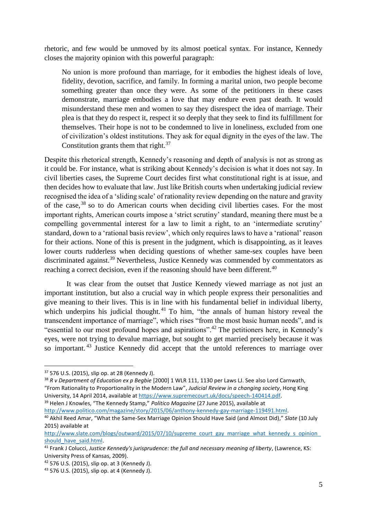rhetoric, and few would be unmoved by its almost poetical syntax. For instance, Kennedy closes the majority opinion with this powerful paragraph:

No union is more profound than marriage, for it embodies the highest ideals of love, fidelity, devotion, sacrifice, and family. In forming a marital union, two people become something greater than once they were. As some of the petitioners in these cases demonstrate, marriage embodies a love that may endure even past death. It would misunderstand these men and women to say they disrespect the idea of marriage. Their plea is that they do respect it, respect it so deeply that they seek to find its fulfillment for themselves. Their hope is not to be condemned to live in loneliness, excluded from one of civilization's oldest institutions. They ask for equal dignity in the eyes of the law. The Constitution grants them that right. $37$ 

Despite this rhetorical strength, Kennedy's reasoning and depth of analysis is not as strong as it could be. For instance, what is striking about Kennedy's decision is what it does not say. In civil liberties cases, the Supreme Court decides first what constitutional right is at issue, and then decides how to evaluate that law. Just like British courts when undertaking judicial review recognised the idea of a 'sliding scale' of rationality review depending on the nature and gravity of the case,<sup>38</sup> so to do American courts when deciding civil liberties cases. For the most important rights, American courts impose a 'strict scrutiny' standard, meaning there must be a compelling governmental interest for a law to limit a right, to an 'intermediate scrutiny' standard, down to a 'rational basis review', which only requires laws to have a 'rational' reason for their actions. None of this is present in the judgment, which is disappointing, as it leaves lower courts rudderless when deciding questions of whether same-sex couples have been discriminated against.<sup>39</sup> Nevertheless, Justice Kennedy was commended by commentators as reaching a correct decision, even if the reasoning should have been different.<sup>40</sup>

 It was clear from the outset that Justice Kennedy viewed marriage as not just an important institution, but also a crucial way in which people express their personalities and give meaning to their lives. This is in line with his fundamental belief in individual liberty, which underpins his judicial thought.<sup>41</sup> To him, "the annals of human history reveal the transcendent importance of marriage", which rises "from the most basic human needs", and is "essential to our most profound hopes and aspirations".<sup>42</sup> The petitioners here, in Kennedy's eyes, were not trying to devalue marriage, but sought to get married precisely because it was so important.<sup>43</sup> Justice Kennedy did accept that the untold references to marriage over

.<br>-

<sup>38</sup> *R v Department of Education ex p Begbie* [2000] 1 WLR 111, 1130 per Laws LJ. See also Lord Carnwath, ͞From Rationality to Proportionality in the Modern Law͟, *Judicial Review in a changing society*, Hong King University, 14 April 2014, available at [https://www.supremecourt.uk/docs/speech-140414.pdf.](https://www.supremecourt.uk/docs/speech-140414.pdf) <sup>39</sup> Helen J Knowles, "The Kennedy Stamp," Politico Magazine (27 June 2015), available at

 $37$  576 U.S. (2015), slip op. at 28 (Kennedy J).

[http://www.politico.com/magazine/story/2015/06/anthony-kennedy-gay-marriage-119491.html.](http://www.politico.com/magazine/story/2015/06/anthony-kennedy-gay-marriage-119491.html)

<sup>&</sup>lt;sup>40</sup> Akhil Reed Amar, "What the Same-Sex Marriage Opinion Should Have Said (and Almost Did)," Slate (10 July 2015) available at

http://www.slate.com/blogs/outward/2015/07/10/supreme\_court\_gay\_marriage\_what\_kennedy\_s\_opinion should have said.html.

<sup>41</sup> Frank J Colucci, *Justice Kennedy's jurisprudence: the full and necessary meaning of liberty*, (Lawrence, KS: University Press of Kansas, 2009).

<sup>42</sup> 576 U.S. (2015), slip op. at 3 (Kennedy J).

<sup>43</sup> 576 U.S. (2015), slip op. at 4 (Kennedy J).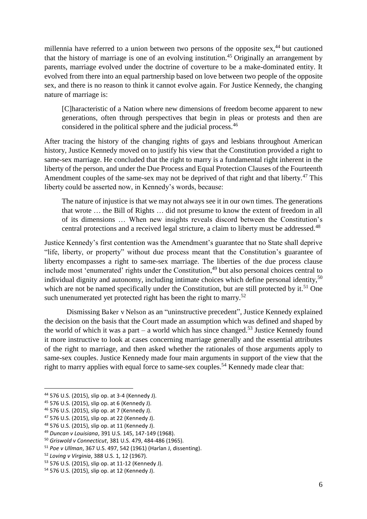millennia have referred to a union between two persons of the opposite sex,<sup>44</sup> but cautioned that the history of marriage is one of an evolving institution.<sup>45</sup> Originally an arrangement by parents, marriage evolved under the doctrine of coverture to be a make-dominated entity. It evolved from there into an equal partnership based on love between two people of the opposite sex, and there is no reason to think it cannot evolve again. For Justice Kennedy, the changing nature of marriage is:

[C]haracteristic of a Nation where new dimensions of freedom become apparent to new generations, often through perspectives that begin in pleas or protests and then are considered in the political sphere and the judicial process.<sup>46</sup>

After tracing the history of the changing rights of gays and lesbians throughout American history, Justice Kennedy moved on to justify his view that the Constitution provided a right to same-sex marriage. He concluded that the right to marry is a fundamental right inherent in the liberty of the person, and under the Due Process and Equal Protection Clauses of the Fourteenth Amendment couples of the same-sex may not be deprived of that right and that liberty.<sup>47</sup> This liberty could be asserted now, in Kennedy's words, because:

The nature of injustice is that we may not always see it in our own times. The generations that wrote … the Bill of Rights … did not presume to know the extent of freedom in all of its dimensions … When new insights reveals discord between the Constitution's central protections and a received legal stricture, a claim to liberty must be addressed.<sup>48</sup>

Justice Kennedy's first contention was the Amendment's guarantee that no State shall deprive "life, liberty, or property" without due process meant that the Constitution's guarantee of liberty encompasses a right to same-sex marriage. The liberties of the due process clause include most 'enumerated' rights under the Constitution,<sup>49</sup> but also personal choices central to individual dignity and autonomy, including intimate choices which define personal identity,  $50$ which are not be named specifically under the Constitution, but are still protected by it.<sup>51</sup> One such unenumerated yet protected right has been the right to marry. $52$ 

 Dismissing Baker v Nelson as an "uninstructive precedent", Justice Kennedy explained the decision on the basis that the Court made an assumption which was defined and shaped by the world of which it was a part – a world which has since changed.<sup>53</sup> Justice Kennedy found it more instructive to look at cases concerning marriage generally and the essential attributes of the right to marriage, and then asked whether the rationales of those arguments apply to same-sex couples. Justice Kennedy made four main arguments in support of the view that the right to marry applies with equal force to same-sex couples.<sup>54</sup> Kennedy made clear that:

<sup>44</sup> 576 U.S. (2015), slip op. at 3-4 (Kennedy J).

<sup>45</sup> 576 U.S. (2015), slip op. at 6 (Kennedy J).

<sup>46</sup> 576 U.S. (2015), slip op. at 7 (Kennedy J).

<sup>47</sup> 576 U.S. (2015), slip op. at 22 (Kennedy J).

<sup>48</sup> 576 U.S. (2015), slip op. at 11 (Kennedy J).

<sup>49</sup> *Duncan v Louisiana*, 391 U.S. 145, 147-149 (1968).

<sup>50</sup> *Griswold v Connecticut*, 381 U.S. 479, 484-486 (1965).

<sup>51</sup> *Poe v Ullman*, 367 U.S. 497, 542 (1961) (Harlan J, dissenting).

<sup>52</sup> *Loving v Virginia*, 388 U.S. 1, 12 (1967).

<sup>53</sup> 576 U.S. (2015), slip op. at 11-12 (Kennedy J).

<sup>54</sup> 576 U.S. (2015), slip op. at 12 (Kennedy J).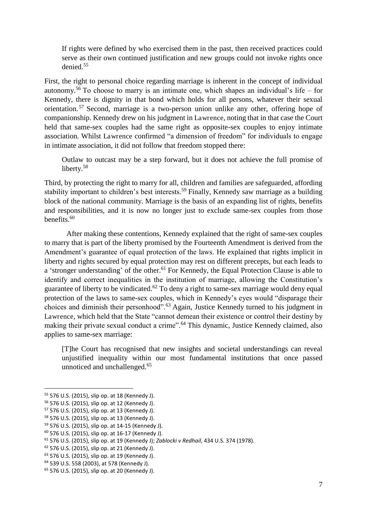If rights were defined by who exercised them in the past, then received practices could serve as their own continued justification and new groups could not invoke rights once denied.<sup>55</sup>

First, the right to personal choice regarding marriage is inherent in the concept of individual autonomy.<sup>56</sup> To choose to marry is an intimate one, which shapes an individual's life – for Kennedy, there is dignity in that bond which holds for all persons, whatever their sexual orientation. <sup>57</sup> Second, marriage is a two-person union unlike any other, offering hope of companionship. Kennedy drew on his judgment in Lawrence, noting that in that case the Court held that same-sex couples had the same right as opposite-sex couples to enjoy intimate association. Whilst Lawrence confirmed "a dimension of freedom" for individuals to engage in intimate association, it did not follow that freedom stopped there:

Outlaw to outcast may be a step forward, but it does not achieve the full promise of liberty.<sup>58</sup>

Third, by protecting the right to marry for all, children and families are safeguarded, affording stability important to children's best interests.<sup>59</sup> Finally, Kennedy saw marriage as a building block of the national community. Marriage is the basis of an expanding list of rights, benefits and responsibilities, and it is now no longer just to exclude same-sex couples from those benefits.<sup>60</sup>

 After making these contentions, Kennedy explained that the right of same-sex couples to marry that is part of the liberty promised by the Fourteenth Amendment is derived from the Amendment's guarantee of equal protection of the laws. He explained that rights implicit in liberty and rights secured by equal protection may rest on different precepts, but each leads to a 'stronger understanding' of the other.<sup>61</sup> For Kennedy, the Equal Protection Clause is able to identify and correct inequalities in the institution of marriage, allowing the Constitution's guarantee of liberty to be vindicated.<sup>62</sup> To deny a right to same-sex marriage would deny equal protection of the laws to same-sex couples, which in Kennedy's eyes would "disparage their choices and diminish their personhood".<sup>63</sup> Again, Justice Kennedy turned to his judgment in Lawrence, which held that the State "cannot demean their existence or control their destiny by making their private sexual conduct a crime".<sup>64</sup> This dynamic, Justice Kennedy claimed, also applies to same-sex marriage:

[T]he Court has recognised that new insights and societal understandings can reveal unjustified inequality within our most fundamental institutions that once passed unnoticed and unchallenged.<sup>65</sup>

<sup>55</sup> 576 U.S. (2015), slip op. at 18 (Kennedy J).

<sup>56</sup> 576 U.S. (2015), slip op. at 12 (Kennedy J).

<sup>57</sup> 576 U.S. (2015), slip op. at 13 (Kennedy J).

<sup>58</sup> 576 U.S. (2015), slip op. at 13 (Kennedy J).

<sup>59</sup> 576 U.S. (2015), slip op. at 14-15 (Kennedy J).

<sup>60</sup> 576 U.S. (2015), slip op. at 16-17 (Kennedy J).

<sup>61</sup> 576 U.S. (2015), slip op. at 19 (Kennedy J); *Zablocki v Redhail*, 434 U.S. 374 (1978).

<sup>62</sup> 576 U.S. (2015), slip op. at 21 (Kennedy J).

<sup>63</sup> 576 U.S. (2015), slip op. at 19 (Kennedy J).

<sup>64</sup> 539 U.S. 558 (2003), at 578 (Kennedy J).

<sup>65</sup> 576 U.S. (2015), slip op. at 20 (Kennedy J).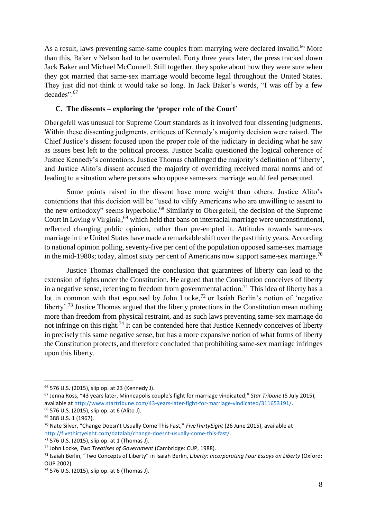As a result, laws preventing same-same couples from marrying were declared invalid.<sup>66</sup> More than this, Baker v Nelson had to be overruled. Forty three years later, the press tracked down Jack Baker and Michael McConnell. Still together, they spoke about how they were sure when they got married that same-sex marriage would become legal throughout the United States. They just did not think it would take so long. In Jack Baker's words, "I was off by a few decades".<sup>67</sup>

#### **C. The dissents – exploring the 'proper role of the Court'**

Obergefell was unusual for Supreme Court standards as it involved four dissenting judgments. Within these dissenting judgments, critiques of Kennedy's majority decision were raised. The Chief Justice's dissent focused upon the proper role of the judiciary in deciding what he saw as issues best left to the political process. Justice Scalia questioned the logical coherence of Justice Kennedy's contentions. Justice Thomas challenged the majority's definition of 'liberty', and Justice Alito's dissent accused the majority of overriding received moral norms and of leading to a situation where persons who oppose same-sex marriage would feel persecuted.

 Some points raised in the dissent have more weight than others. Justice Alito's contentions that this decision will be "used to vilify Americans who are unwilling to assent to the new orthodoxy" seems hyperbolic.<sup>68</sup> Similarly to Obergefell, the decision of the Supreme Court in Loving v Virginia,<sup>69</sup> which held that bans on interracial marriage were unconstitutional, reflected changing public opinion, rather than pre-empted it. Attitudes towards same-sex marriage in the United States have made a remarkable shift over the past thirty years. According to national opinion polling, seventy-five per cent of the population opposed same-sex marriage in the mid-1980s; today, almost sixty per cent of Americans now support same-sex marriage.<sup>70</sup>

 Justice Thomas challenged the conclusion that guarantees of liberty can lead to the extension of rights under the Constitution. He argued that the Constitution conceives of liberty in a negative sense, referring to freedom from governmental action.<sup>71</sup> This idea of liberty has a lot in common with that espoused by John Locke,<sup>72</sup> or Isaiah Berlin's notion of 'negative liberty<sup>'73</sup> Justice Thomas argued that the liberty protections in the Constitution mean nothing more than freedom from physical restraint, and as such laws preventing same-sex marriage do not infringe on this right.<sup>74</sup> It can be contended here that Justice Kennedy conceives of liberty in precisely this same negative sense, but has a more expansive notion of what forms of liberty the Constitution protects, and therefore concluded that prohibiting same-sex marriage infringes upon this liberty.

.<br>-

<sup>66</sup> 576 U.S. (2015), slip op. at 23 (Kennedy J).

<sup>67</sup> Jenna Ross, "43 years later, Minneapolis couple's fight for marriage vindicated," *Star Tribune* (5 July 2015), available a[t http://www.startribune.com/43-years-later-fight-for-marriage-vindicated/311653191/.](http://www.startribune.com/43-years-later-fight-for-marriage-vindicated/311653191/) <sup>68</sup> 576 U.S. (2015), slip op. at 6 (Alito J).

<sup>69</sup> 388 U.S. 1 (1967).

<sup>&</sup>lt;sup>70</sup> Nate Silver, "Change Doesn't Usually Come This Fast," FiveThirtyEight (26 June 2015), available at [http://fivethirtyeight.com/datalab/change-doesnt-usually-come-this-fast/.](http://fivethirtyeight.com/datalab/change-doesnt-usually-come-this-fast/)

 $71$  576 U.S. (2015), slip op. at 1 (Thomas J).

<sup>72</sup> John Locke, *Two Treatises of Government* (Cambridge: CUP, 1988).

<sup>73</sup> Isaiah Berlin, "Two Concepts of Liberty" in Isaiah Berlin, *Liberty: Incorporating Four Essays on Liberty* (Oxford: OUP 2002).

<sup>74</sup> 576 U.S. (2015), slip op. at 6 (Thomas J).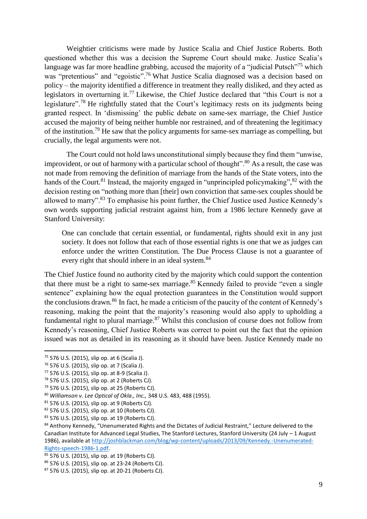Weightier criticisms were made by Justice Scalia and Chief Justice Roberts. Both questioned whether this was a decision the Supreme Court should make. Justice Scalia's language was far more headline grabbing, accused the majority of a "judicial Putsch"<sup>75</sup> which was "pretentious" and "egoistic".<sup>76</sup> What Justice Scalia diagnosed was a decision based on policy – the majority identified a difference in treatment they really disliked, and they acted as legislators in overturning it.<sup>77</sup> Likewise, the Chief Justice declared that "this Court is not a legislature".<sup>78</sup> He rightfully stated that the Court's legitimacy rests on its judgments being granted respect. In 'dismissing' the public debate on same-sex marriage, the Chief Justice accused the majority of being neither humble nor restrained, and of threatening the legitimacy of the institution.<sup>79</sup> He saw that the policy arguments for same-sex marriage as compelling, but crucially, the legal arguments were not.

 The Court could not hold laws unconstitutional simply because they find them "unwise, improvident, or out of harmony with a particular school of thought".<sup>80</sup> As a result, the case was not made from removing the definition of marriage from the hands of the State voters, into the hands of the Court.<sup>81</sup> Instead, the majority engaged in "unprincipled policymaking", <sup>82</sup> with the decision resting on "nothing more than [their] own conviction that same-sex couples should be allowed to marry".<sup>83</sup> To emphasise his point further, the Chief Justice used Justice Kennedy's own words supporting judicial restraint against him, from a 1986 lecture Kennedy gave at Stanford University:

One can conclude that certain essential, or fundamental, rights should exit in any just society. It does not follow that each of those essential rights is one that we as judges can enforce under the written Constitution. The Due Process Clause is not a guarantee of every right that should inhere in an ideal system.<sup>84</sup>

The Chief Justice found no authority cited by the majority which could support the contention that there must be a right to same-sex marriage.<sup>85</sup> Kennedy failed to provide "even a single sentence" explaining how the equal protection guarantees in the Constitution would support the conclusions drawn.<sup>86</sup> In fact, he made a criticism of the paucity of the content of Kennedy's reasoning, making the point that the majority's reasoning would also apply to upholding a fundamental right to plural marriage.<sup>87</sup> Whilst this conclusion of course does not follow from Kennedy's reasoning, Chief Justice Roberts was correct to point out the fact that the opinion issued was not as detailed in its reasoning as it should have been. Justice Kennedy made no

<sup>75</sup> 576 U.S. (2015), slip op. at 6 (Scalia J).

<sup>76</sup> 576 U.S. (2015), slip op. at 7 (Scalia J).

<sup>77</sup> 576 U.S. (2015), slip op. at 8-9 (Scalia J).

<sup>78</sup> 576 U.S. (2015), slip op. at 2 (Roberts CJ).

<sup>79</sup> 576 U.S. (2015), slip op. at 25 (Roberts CJ).

<sup>80</sup> *Williamson v. Lee Optical of Okla., Inc.,* 348 U.S. 483, 488 (1955).

<sup>81</sup> 576 U.S. (2015), slip op. at 9 (Roberts CJ).

<sup>82</sup> 576 U.S. (2015), slip op. at 10 (Roberts CJ).

<sup>83</sup> 576 U.S. (2015), slip op. at 19 (Roberts CJ).

<sup>84</sup> Anthony Kennedy, "Unenumerated Rights and the Dictates of Judicial Restraint," Lecture delivered to the Canadian Institute for Advanced Legal Studies, The Stanford Lectures, Stanford University (24 July – 1 August 1986), available a[t http://joshblackman.com/blog/wp-content/uploads/2013/09/Kennedy.-Unenumerated-](http://joshblackman.com/blog/wp-content/uploads/2013/09/Kennedy.-Unenumerated-Rights-speech-1986-1.pdf)[Rights-speech-1986-1.pdf.](http://joshblackman.com/blog/wp-content/uploads/2013/09/Kennedy.-Unenumerated-Rights-speech-1986-1.pdf)

<sup>85</sup> 576 U.S. (2015), slip op. at 19 (Roberts CJ).

<sup>86</sup> 576 U.S. (2015), slip op. at 23-24 (Roberts CJ).

<sup>87</sup> 576 U.S. (2015), slip op. at 20-21 (Roberts CJ).